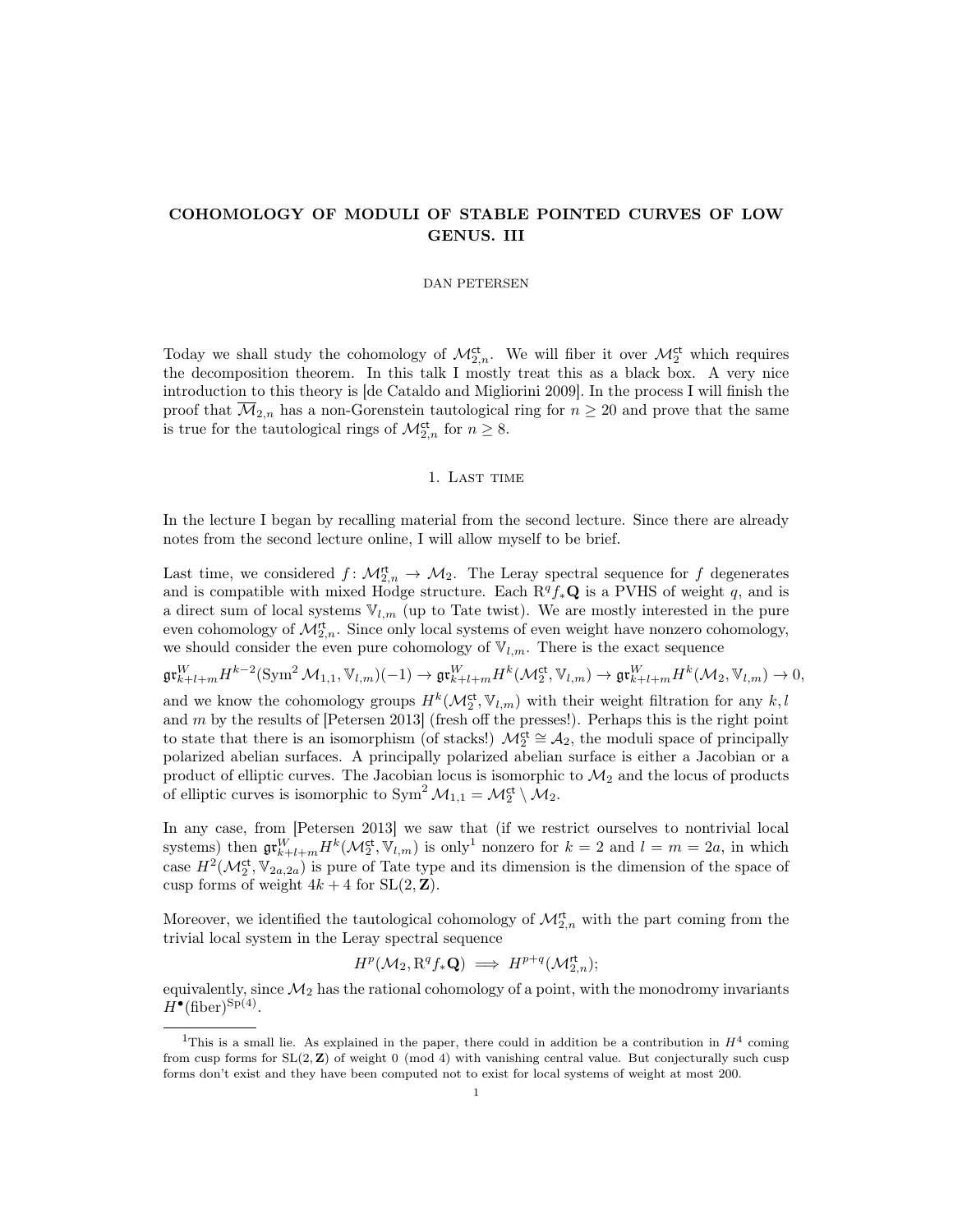## COHOMOLOGY OF MODULI OF STABLE POINTED CURVES OF LOW GENUS. III

#### DAN PETERSEN

Today we shall study the cohomology of  $\mathcal{M}_{2,n}^{\mathrm{ct}}$ . We will fiber it over  $\mathcal{M}_{2}^{\mathrm{ct}}$  which requires the decomposition theorem. In this talk I mostly treat this as a black box. A very nice introduction to this theory is [de Cataldo and Migliorini 2009]. In the process I will finish the proof that  $\overline{\mathcal{M}}_{2,n}$  has a non-Gorenstein tautological ring for  $n \geq 20$  and prove that the same is true for the tautological rings of  $\mathcal{M}^{\text{ct}}_{2,n}$  for  $n \geq 8$ .

## 1. LAST TIME

In the lecture I began by recalling material from the second lecture. Since there are already notes from the second lecture online, I will allow myself to be brief.

Last time, we considered  $f: \mathcal{M}_{2,n}^{\mathsf{rt}} \to \mathcal{M}_2$ . The Leray spectral sequence for f degenerates and is compatible with mixed Hodge structure. Each  $R^q f_*\mathbf{Q}$  is a PVHS of weight q, and is a direct sum of local systems  $\mathbb{V}_{l,m}$  (up to Tate twist). We are mostly interested in the pure even cohomology of  $\mathcal{M}_{2,n}^{\mathsf{rt}}$ . Since only local systems of even weight have nonzero cohomology, we should consider the even pure cohomology of  $V_{l,m}$ . There is the exact sequence

 $\mathfrak{gr}^W_{k+l+m}H^{k-2}(\text{Sym}^2\mathcal{M}_{1,1},\mathbb{V}_{l,m})(-1)\rightarrow \mathfrak{gr}^W_{k+l+m}H^{k}(\mathcal{M}^{\mathsf{ct}}_2,\mathbb{V}_{l,m})\rightarrow \mathfrak{gr}^W_{k+l+m}H^{k}(\mathcal{M}_2,\mathbb{V}_{l,m})\rightarrow 0,$ and we know the cohomology groups  $H^k(\mathcal{M}_2^{\text{ct}}, \mathbb{V}_{l,m})$  with their weight filtration for any  $k, l$ and  $m$  by the results of [Petersen 2013] (fresh off the presses!). Perhaps this is the right point to state that there is an isomorphism (of stacks!)  $\mathcal{M}_{2}^{\{\text{ct}\}} \cong \mathcal{A}_{2}$ , the moduli space of principally polarized abelian surfaces. A principally polarized abelian surface is either a Jacobian or a product of elliptic curves. The Jacobian locus is isomorphic to  $\mathcal{M}_2$  and the locus of products of elliptic curves is isomorphic to  $\text{Sym}^2 \mathcal{M}_{1,1} = \mathcal{M}_2^{\text{ct}} \setminus \mathcal{M}_2$ .

In any case, from [Petersen 2013] we saw that (if we restrict ourselves to nontrivial local systems) then  $\mathfrak{gr}^W_{k+l+m}H^k(\mathcal{M}_2^{\mathsf{ct}}, \mathbb{V}_{l,m})$  is only<sup>1</sup> nonzero for  $k=2$  and  $l=m=2a$ , in which case  $H^2(\mathcal{M}_2^{\text{ct}}, \mathbb{V}_{2a,2a})$  is pure of Tate type and its dimension is the dimension of the space of cusp forms of weight  $4k + 4$  for  $SL(2, \mathbb{Z})$ .

Moreover, we identified the tautological cohomology of  $\mathcal{M}_{2,n}^{\mathsf{rt}}$  with the part coming from the trivial local system in the Leray spectral sequence

$$
H^p(\mathcal{M}_2, \mathbf{R}^q f_* \mathbf{Q}) \implies H^{p+q}(\mathcal{M}_{2,n}^{\mathsf{rt}});
$$

equivalently, since  $\mathcal{M}_2$  has the rational cohomology of a point, with the monodromy invariants  $H^{\bullet}(\text{fiber})^{\text{Sp}(4)}$ .

<sup>&</sup>lt;sup>1</sup>This is a small lie. As explained in the paper, there could in addition be a contribution in  $H<sup>4</sup>$  coming from cusp forms for  $SL(2, \mathbb{Z})$  of weight 0 (mod 4) with vanishing central value. But conjecturally such cusp forms don't exist and they have been computed not to exist for local systems of weight at most 200.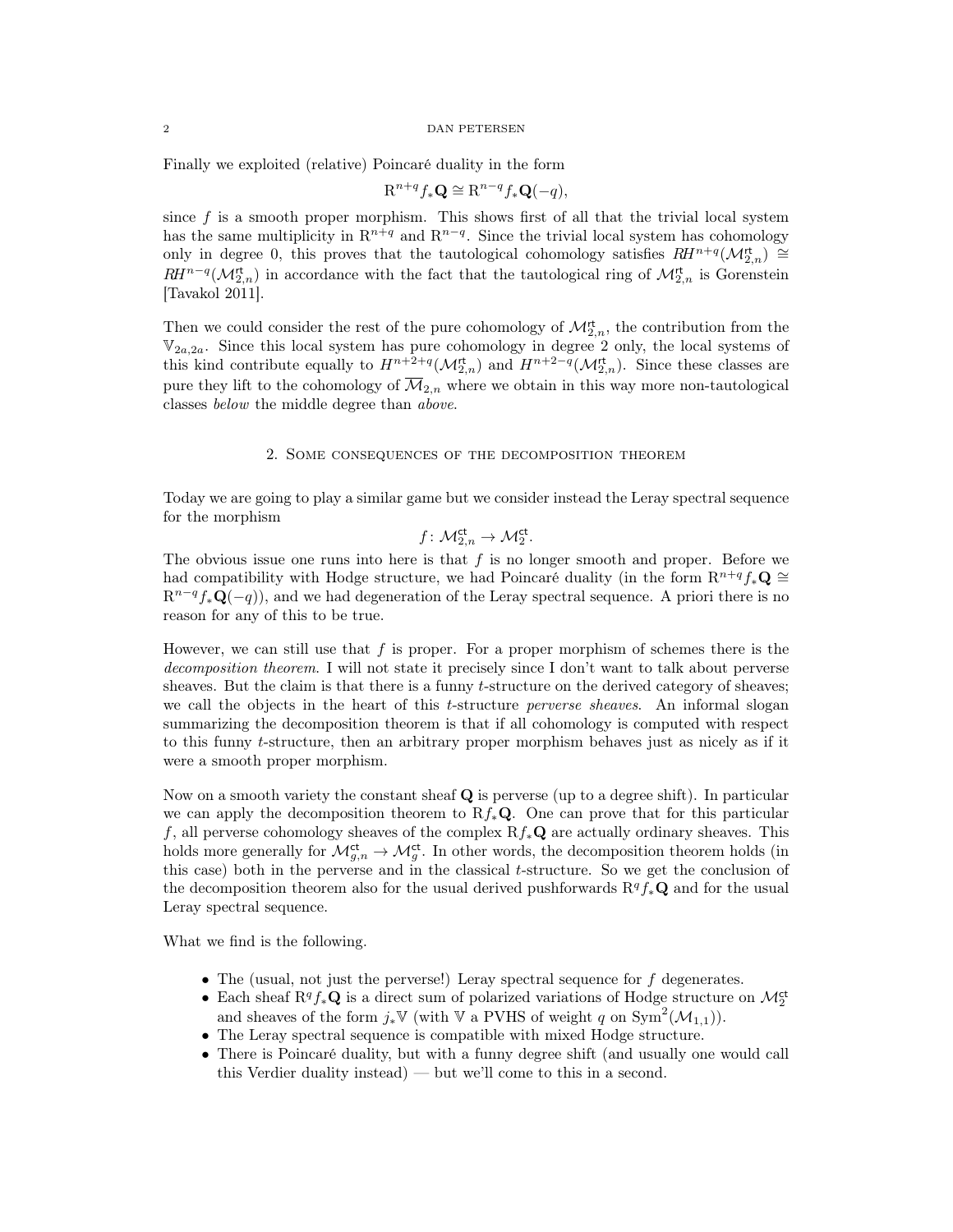## 2 DAN PETERSEN

Finally we exploited (relative) Poincaré duality in the form

$$
\mathbf{R}^{n+q} f_* \mathbf{Q} \cong \mathbf{R}^{n-q} f_* \mathbf{Q}(-q),
$$

since  $f$  is a smooth proper morphism. This shows first of all that the trivial local system has the same multiplicity in  $\mathbb{R}^{n+q}$  and  $\mathbb{R}^{n-q}$ . Since the trivial local system has cohomology only in degree 0, this proves that the tautological cohomology satisfies  $RH^{n+q}(\mathcal{M}_{2,n}^{t}) \cong$  $RH^{n-q}(\mathcal{M}_{2,n}^{rt})$  in accordance with the fact that the tautological ring of  $\mathcal{M}_{2,n}^{rt}$  is Gorenstein [Tavakol 2011].

Then we could consider the rest of the pure cohomology of  $\mathcal{M}_{2,n}^{\mathsf{rt}}$ , the contribution from the  $V_{2a,2a}$ . Since this local system has pure cohomology in degree 2 only, the local systems of this kind contribute equally to  $H^{n+2+q}(\mathcal{M}_{2,n}^{t})$  and  $H^{n+2-q}(\mathcal{M}_{2,n}^{t})$ . Since these classes are pure they lift to the cohomology of  $\overline{\mathcal{M}}_{2,n}$  where we obtain in this way more non-tautological classes below the middle degree than above.

#### 2. Some consequences of the decomposition theorem

Today we are going to play a similar game but we consider instead the Leray spectral sequence for the morphism

$$
f \colon \mathcal{M}_{2,n}^{\mathrm{ct}} \to \mathcal{M}_2^{\mathrm{ct}}.
$$

The obvious issue one runs into here is that  $f$  is no longer smooth and proper. Before we had compatibility with Hodge structure, we had Poincaré duality (in the form  $\mathbb{R}^{n+q} f_*\mathbb{Q} \cong$  $\mathbb{R}^{n-q} f_* \mathbf{Q}(-q)$ , and we had degeneration of the Leray spectral sequence. A priori there is no reason for any of this to be true.

However, we can still use that  $f$  is proper. For a proper morphism of schemes there is the decomposition theorem. I will not state it precisely since I don't want to talk about perverse sheaves. But the claim is that there is a funny t-structure on the derived category of sheaves; we call the objects in the heart of this *t*-structure *perverse sheaves*. An informal slogan summarizing the decomposition theorem is that if all cohomology is computed with respect to this funny t-structure, then an arbitrary proper morphism behaves just as nicely as if it were a smooth proper morphism.

Now on a smooth variety the constant sheaf  $Q$  is perverse (up to a degree shift). In particular we can apply the decomposition theorem to  $Rf_*\mathbf{Q}$ . One can prove that for this particular f, all perverse cohomology sheaves of the complex  $Rf_*\mathbf{Q}$  are actually ordinary sheaves. This holds more generally for  $\mathcal{M}_{g,n}^{\text{ct}} \to \mathcal{M}_g^{\text{ct}}$ . In other words, the decomposition theorem holds (in this case) both in the perverse and in the classical t-structure. So we get the conclusion of the decomposition theorem also for the usual derived pushforwards  $R^q f_*\mathbf{Q}$  and for the usual Leray spectral sequence.

What we find is the following.

- The (usual, not just the perverse!) Leray spectral sequence for f degenerates.
- Each sheaf  $R^q f_* \mathbf{Q}$  is a direct sum of polarized variations of Hodge structure on  $\mathcal{M}_2^{\mathsf{ct}}$ and sheaves of the form  $j_*\mathbb{V}$  (with  $\mathbb{V}$  a PVHS of weight q on  $\text{Sym}^2(\mathcal{M}_{1,1})$ ).
- The Leray spectral sequence is compatible with mixed Hodge structure.
- There is Poincaré duality, but with a funny degree shift (and usually one would call this Verdier duality instead) — but we'll come to this in a second.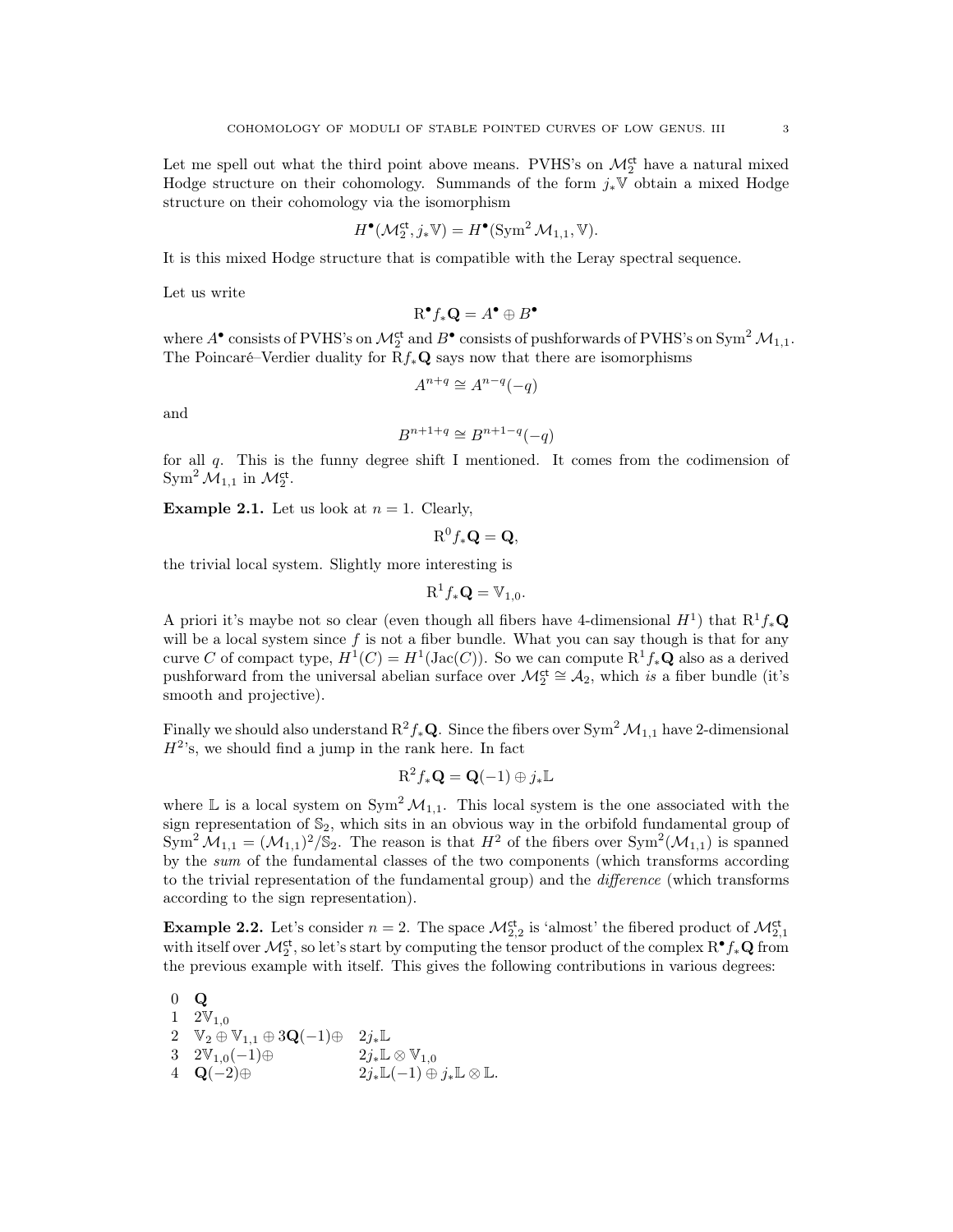Let me spell out what the third point above means. PVHS's on  $\mathcal{M}_2^{\mathsf{ct}}$  have a natural mixed Hodge structure on their cohomology. Summands of the form  $j_*\mathbb{V}$  obtain a mixed Hodge structure on their cohomology via the isomorphism

$$
H^{\bullet}(\mathcal{M}_2^{\mathrm{ct}}, j_*\mathbb{V}) = H^{\bullet}(\operatorname{Sym}^2 \mathcal{M}_{1,1}, \mathbb{V}).
$$

It is this mixed Hodge structure that is compatible with the Leray spectral sequence.

Let us write

$$
\mathrm{R}^{\bullet}f_*\mathbf{Q}=A^{\bullet}\oplus B^{\bullet}
$$

where  $A^{\bullet}$  consists of PVHS's on  $\mathcal{M}_2^{\mathsf{ct}}$  and  $B^{\bullet}$  consists of pushforwards of PVHS's on Sym<sup>2</sup>  $\mathcal{M}_{1,1}$ . The Poincaré–Verdier duality for  $Rf_*\mathbf{Q}$  says now that there are isomorphisms

$$
A^{n+q} \cong A^{n-q}(-q)
$$

and

$$
B^{n+1+q} \cong B^{n+1-q}(-q)
$$

for all  $q$ . This is the funny degree shift I mentioned. It comes from the codimension of  $\text{Sym}^2 \mathcal{M}_{1,1}$  in  $\mathcal{M}_2^{\text{ct}}$ .

**Example 2.1.** Let us look at  $n = 1$ . Clearly,

$$
\mathrm{R}^0 f_* \mathbf{Q} = \mathbf{Q},
$$

the trivial local system. Slightly more interesting is

$$
\mathrm{R}^1 f_* \mathbf{Q} = \mathbb{V}_{1,0}.
$$

A priori it's maybe not so clear (even though all fibers have 4-dimensional  $H^1$ ) that  $R^1f_*\mathbf{Q}$ will be a local system since  $f$  is not a fiber bundle. What you can say though is that for any curve C of compact type,  $H^1(C) = H^1(\text{Jac}(C))$ . So we can compute  $R^1 f_* \mathbf{Q}$  also as a derived pushforward from the universal abelian surface over  $\mathcal{M}_2^{\text{ct}} \cong \mathcal{A}_2$ , which is a fiber bundle (it's smooth and projective).

Finally we should also understand  $R^2f_*\mathbf{Q}$ . Since the fibers over Sym<sup>2</sup>  $\mathcal{M}_{1,1}$  have 2-dimensional  $H^{2}$ 's, we should find a jump in the rank here. In fact

$$
\mathrm{R}^2 f_* \mathbf{Q} = \mathbf{Q}(-1) \oplus j_* \mathbb{L}
$$

where L is a local system on  $Sym^2 \mathcal{M}_{1,1}$ . This local system is the one associated with the sign representation of  $\mathbb{S}_2$ , which sits in an obvious way in the orbifold fundamental group of  $\text{Sym}^2 \mathcal{M}_{1,1} = (\mathcal{M}_{1,1})^2 / \mathbb{S}_2$ . The reason is that  $H^2$  of the fibers over  $\text{Sym}^2(\mathcal{M}_{1,1})$  is spanned by the sum of the fundamental classes of the two components (which transforms according to the trivial representation of the fundamental group) and the difference (which transforms according to the sign representation).

**Example 2.2.** Let's consider  $n = 2$ . The space  $\mathcal{M}_{2,2}^{\text{ct}}$  is 'almost' the fibered product of  $\mathcal{M}_{2,1}^{\text{ct}}$ with itself over  $\mathcal{M}_2^{\text{ct}}$ , so let's start by computing the tensor product of the complex  $R^{\bullet} f_*\mathbf{Q}$  from the previous example with itself. This gives the following contributions in various degrees:

0 Q  $1 \quad 2V_{1,0}$  $2 \quad \mathbb{V}_2 \oplus \mathbb{V}_{1,1} \oplus 3\mathbf{Q}(-1) \oplus 2j_* \mathbb{L}$  $3 \quad 2\mathbb{V}_{1,0}(-1) \oplus 2j_*\mathbb{L} \otimes \mathbb{V}_{1,0}$  $4\quad \mathbf{Q}(-2) \oplus \qquad \qquad 2j_* \mathbb{L}(-1) \oplus j_* \mathbb{L} \otimes \mathbb{L}.$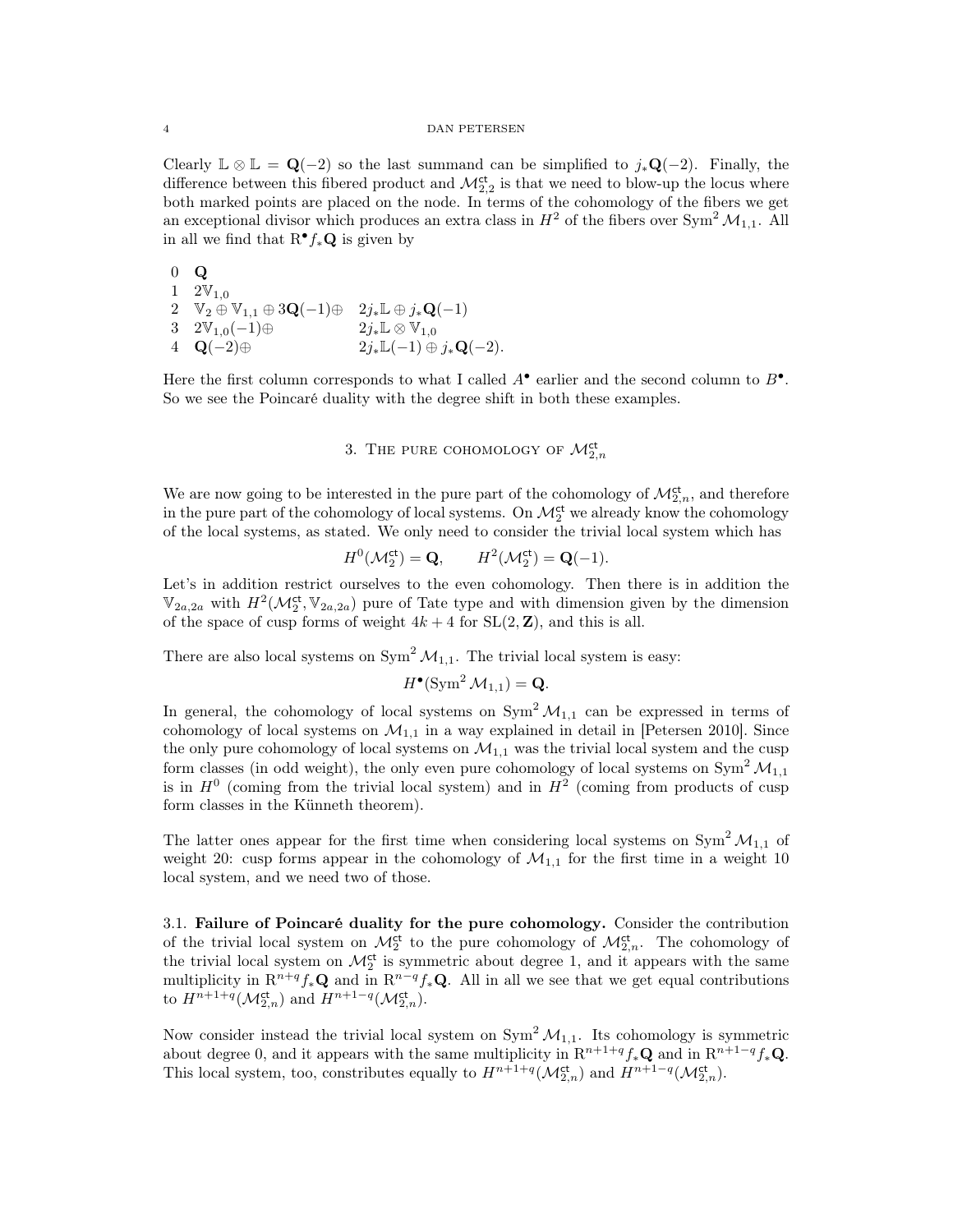Clearly  $\mathbb{L} \otimes \mathbb{L} = \mathbf{Q}(-2)$  so the last summand can be simplified to  $j_*\mathbf{Q}(-2)$ . Finally, the difference between this fibered product and  $\mathcal{M}_{2,2}^{\text{ct}}$  is that we need to blow-up the locus where both marked points are placed on the node. In terms of the cohomology of the fibers we get an exceptional divisor which produces an extra class in  $H^2$  of the fibers over Sym<sup>2</sup>  $\mathcal{M}_{1,1}$ . All in all we find that  $\mathbb{R}^{\bullet} f_* \mathbb{Q}$  is given by

0 Q 1  $2V_{1,0}$ 2  $\mathbb{V}_2 \oplus \mathbb{V}_{1,1} \oplus 3\mathbf{Q}(-1) \oplus 2j_*\mathbb{L} \oplus j_*\mathbf{Q}(-1)$  $3 \quad 2\mathbb{V}_{1,0}(-1) \oplus 2j_*\mathbb{L} \otimes \mathbb{V}_{1,0}$ 4  ${\bf Q}(-2) \oplus 2j_*{\mathbb L}(-1) \oplus j_*{\bf Q}(-2).$ 

Here the first column corresponds to what I called  $A^{\bullet}$  earlier and the second column to  $B^{\bullet}$ . So we see the Poincaré duality with the degree shift in both these examples.

# 3. THE PURE COHOMOLOGY OF  $\mathcal{M}_{2,n}^{\text{ct}}$

We are now going to be interested in the pure part of the cohomology of  $\mathcal{M}_{2,n}^{\mathrm{ct}}$ , and therefore in the pure part of the cohomology of local systems. On  $\mathcal{M}_2^{\mathsf{ct}}$  we already know the cohomology of the local systems, as stated. We only need to consider the trivial local system which has

$$
H^0(\mathcal{M}_2^{\mathrm{ct}}) = \mathbf{Q}, \qquad H^2(\mathcal{M}_2^{\mathrm{ct}}) = \mathbf{Q}(-1).
$$

Let's in addition restrict ourselves to the even cohomology. Then there is in addition the  $\mathbb{V}_{2a,2a}$  with  $H^2(\mathcal{M}_2^{\text{ct}}, \mathbb{V}_{2a,2a})$  pure of Tate type and with dimension given by the dimension of the space of cusp forms of weight  $4k + 4$  for  $SL(2, \mathbb{Z})$ , and this is all.

There are also local systems on  $Sym^2 \mathcal{M}_{1,1}$ . The trivial local system is easy:

$$
H^{\bullet}(\operatorname{Sym}^2 \mathcal{M}_{1,1}) = \mathbf{Q}.
$$

In general, the cohomology of local systems on  $\text{Sym}^2 \mathcal{M}_{1,1}$  can be expressed in terms of cohomology of local systems on  $\mathcal{M}_{1,1}$  in a way explained in detail in [Petersen 2010]. Since the only pure cohomology of local systems on  $\mathcal{M}_{1,1}$  was the trivial local system and the cusp form classes (in odd weight), the only even pure cohomology of local systems on  $\text{Sym}^2 \mathcal{M}_{1,1}$ is in  $H^0$  (coming from the trivial local system) and in  $H^2$  (coming from products of cusp form classes in the Künneth theorem).

The latter ones appear for the first time when considering local systems on  $\text{Sym}^2 \mathcal{M}_{1,1}$  of weight 20: cusp forms appear in the cohomology of  $\mathcal{M}_{1,1}$  for the first time in a weight 10 local system, and we need two of those.

3.1. Failure of Poincaré duality for the pure cohomology. Consider the contribution of the trivial local system on  $\mathcal{M}_2^{\text{ct}}$  to the pure cohomology of  $\mathcal{M}_{2,n}^{\text{ct}}$ . The cohomology of the trivial local system on  $\mathcal{M}_2^{\text{ct}}$  is symmetric about degree 1, and it appears with the same multiplicity in  $\mathbb{R}^{n+q} f_* \mathbb{Q}$  and in  $\mathbb{R}^{n-q} f_* \mathbb{Q}$ . All in all we see that we get equal contributions to  $H^{n+1+q}(\mathcal{M}_{2,n}^{\mathrm{ct}})$  and  $H^{n+1-q}(\mathcal{M}_{2,n}^{\mathrm{ct}})$ .

Now consider instead the trivial local system on  $Sym^2 \mathcal{M}_{1,1}$ . Its cohomology is symmetric about degree 0, and it appears with the same multiplicity in  $\mathbb{R}^{n+1+q} f_* \mathbb{Q}$  and in  $\mathbb{R}^{n+1-q} f_* \mathbb{Q}$ . This local system, too, constributes equally to  $H^{n+1+q}(\mathcal{M}_{2,n}^{ct})$  and  $H^{n+1-q}(\mathcal{M}_{2,n}^{ct})$ .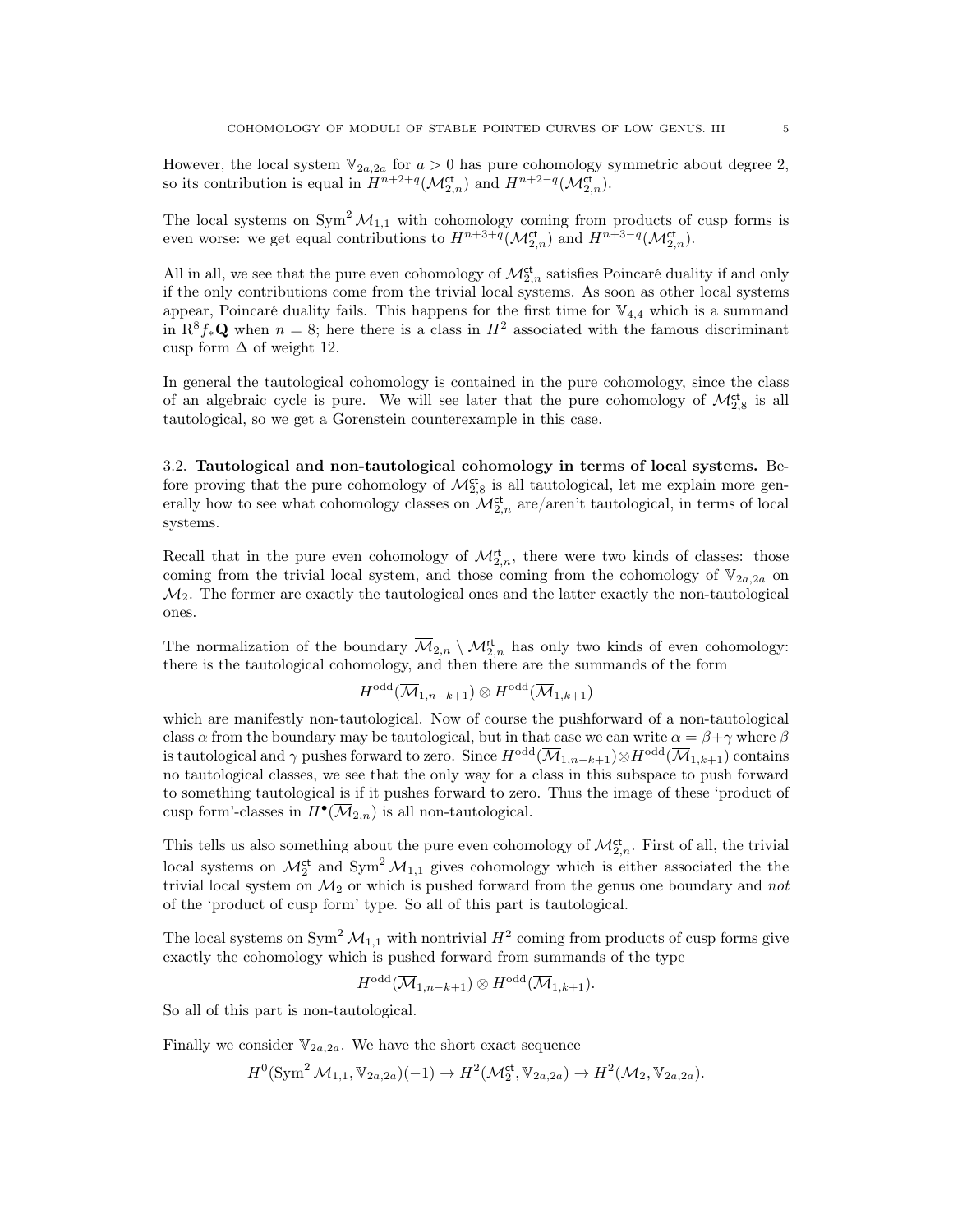However, the local system  $\mathbb{V}_{2a,2a}$  for  $a > 0$  has pure cohomology symmetric about degree 2, so its contribution is equal in  $H^{n+2+q}(\mathcal{M}_{2,n}^{ct})$  and  $H^{n+2-q}(\mathcal{M}_{2,n}^{ct})$ .

The local systems on  $Sym^2 \mathcal{M}_{1,1}$  with cohomology coming from products of cusp forms is even worse: we get equal contributions to  $H^{n+3+q}(\mathcal{M}_{2,n}^{ct})$  and  $H^{n+3-q}(\mathcal{M}_{2,n}^{ct})$ .

All in all, we see that the pure even cohomology of  $\mathcal{M}^{\text{ct}}_{2,n}$  satisfies Poincaré duality if and only if the only contributions come from the trivial local systems. As soon as other local systems appear, Poincaré duality fails. This happens for the first time for  $\mathbb{V}_{4,4}$  which is a summand in  $\mathbb{R}^8 f_* \mathbb{Q}$  when  $n = 8$ ; here there is a class in  $H^2$  associated with the famous discriminant cusp form  $\Delta$  of weight 12.

In general the tautological cohomology is contained in the pure cohomology, since the class of an algebraic cycle is pure. We will see later that the pure cohomology of  $\mathcal{M}_{2,8}^{\text{ct}}$  is all tautological, so we get a Gorenstein counterexample in this case.

3.2. Tautological and non-tautological cohomology in terms of local systems. Before proving that the pure cohomology of  $\mathcal{M}_{2,8}^{\text{ct}}$  is all tautological, let me explain more generally how to see what cohomology classes on  $\mathcal{M}^{\text{ct}}_{2,n}$  are/aren't tautological, in terms of local systems.

Recall that in the pure even cohomology of  $\mathcal{M}_{2,n}^{\mathsf{rt}}$ , there were two kinds of classes: those coming from the trivial local system, and those coming from the cohomology of  $\mathbb{V}_{2a,2a}$  on  $\mathcal{M}_2$ . The former are exactly the tautological ones and the latter exactly the non-tautological ones.

The normalization of the boundary  $\overline{\mathcal{M}}_{2,n} \setminus \mathcal{M}_{2,n}^{\mathsf{rt}}$  has only two kinds of even cohomology: there is the tautological cohomology, and then there are the summands of the form

$$
H^{\text{odd}}(\overline{\mathcal{M}}_{1,n-k+1})\otimes H^{\text{odd}}(\overline{\mathcal{M}}_{1,k+1})
$$

which are manifestly non-tautological. Now of course the pushforward of a non-tautological class  $\alpha$  from the boundary may be tautological, but in that case we can write  $\alpha = \beta + \gamma$  where  $\beta$ is tautological and  $\gamma$  pushes forward to zero. Since  $H^{odd}(\overline{\mathcal{M}}_{1,n-k+1})\otimes H^{odd}(\overline{\mathcal{M}}_{1,k+1})$  contains no tautological classes, we see that the only way for a class in this subspace to push forward to something tautological is if it pushes forward to zero. Thus the image of these 'product of cusp form'-classes in  $H^{\bullet}(\overline{\mathcal{M}}_{2,n})$  is all non-tautological.

This tells us also something about the pure even cohomology of  $\mathcal{M}_{2,n}^{\mathrm{ct}}$ . First of all, the trivial local systems on  $\mathcal{M}_2^{\text{ct}}$  and  $\text{Sym}^2 \mathcal{M}_{1,1}$  gives cohomology which is either associated the the trivial local system on  $\mathcal{M}_2$  or which is pushed forward from the genus one boundary and not of the 'product of cusp form' type. So all of this part is tautological.

The local systems on  $Sym^2 \mathcal{M}_{1,1}$  with nontrivial  $H^2$  coming from products of cusp forms give exactly the cohomology which is pushed forward from summands of the type

$$
H^{\text{odd}}(\overline{\mathcal{M}}_{1,n-k+1})\otimes H^{\text{odd}}(\overline{\mathcal{M}}_{1,k+1}).
$$

So all of this part is non-tautological.

Finally we consider  $\mathbb{V}_{2a,2a}$ . We have the short exact sequence

$$
H^0(\operatorname{Sym}^2 \mathcal{M}_{1,1}, \mathbb{V}_{2a,2a})(-1) \to H^2(\mathcal{M}_2^{\text{ct}}, \mathbb{V}_{2a,2a}) \to H^2(\mathcal{M}_2, \mathbb{V}_{2a,2a}).
$$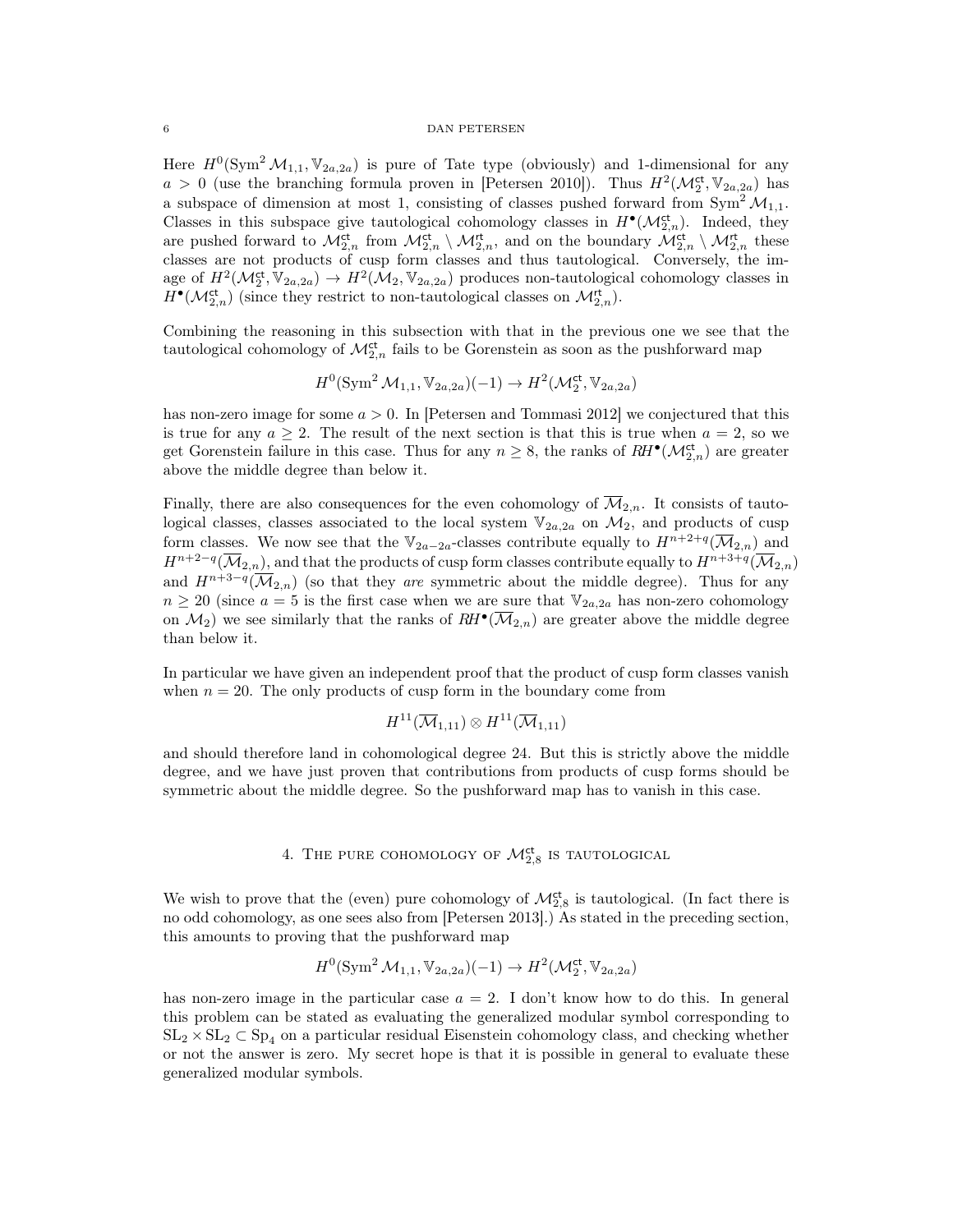## 6 DAN PETERSEN

Here  $H^0(\text{Sym}^2 \mathcal{M}_{1,1}, \mathbb{V}_{2a,2a})$  is pure of Tate type (obviously) and 1-dimensional for any  $a > 0$  (use the branching formula proven in [Petersen 2010]). Thus  $H^2(\mathcal{M}_2^{\text{ct}}, \mathbb{V}_{2a,2a})$  has a subspace of dimension at most 1, consisting of classes pushed forward from  $\text{Sym}^2 \mathcal{M}_{1,1}$ . Classes in this subspace give tautological cohomology classes in  $H^{\bullet}(\mathcal{M}_{2,n}^{\mathrm{ct}})$ . Indeed, they are pushed forward to  $\mathcal{M}_{2,n}^{\mathrm{ct}}$  from  $\mathcal{M}_{2,n}^{\mathrm{ct}} \setminus \mathcal{M}_{2,n}^{\mathrm{ct}}$ , and on the boundary  $\mathcal{M}_{2,n}^{\mathrm{ct}} \setminus \mathcal{M}_{2,n}^{\mathrm{ct}}$  these classes are not products of cusp form classes and thus tautological. Conversely, the image of  $H^2(\mathcal{M}_2^{\text{ct}}, \mathbb{V}_{2a,2a}) \to H^2(\mathcal{M}_2, \mathbb{V}_{2a,2a})$  produces non-tautological cohomology classes in  $H^{\bullet}(\mathcal{M}_{2,n}^{\mathrm{ct}})$  (since they restrict to non-tautological classes on  $\mathcal{M}_{2,n}^{\mathrm{ct}}$ ).

Combining the reasoning in this subsection with that in the previous one we see that the tautological cohomology of  $\mathcal{M}_{2,n}^{\mathrm{ct}}$  fails to be Gorenstein as soon as the pushforward map

$$
H^0(\text{Sym}^2 \mathcal{M}_{1,1}, \mathbb{V}_{2a,2a})(-1) \to H^2(\mathcal{M}_2^{\text{ct}}, \mathbb{V}_{2a,2a})
$$

has non-zero image for some  $a > 0$ . In [Petersen and Tommasi 2012] we conjectured that this is true for any  $a \geq 2$ . The result of the next section is that this is true when  $a = 2$ , so we get Gorenstein failure in this case. Thus for any  $n \geq 8$ , the ranks of  $RH^{\bullet}(\mathcal{M}_{2,n}^{ct})$  are greater above the middle degree than below it.

Finally, there are also consequences for the even cohomology of  $\overline{\mathcal{M}}_{2,n}$ . It consists of tautological classes, classes associated to the local system  $\mathbb{V}_{2a,2a}$  on  $\mathcal{M}_2$ , and products of cusp form classes. We now see that the  $\mathbb{V}_{2a-2a}$ -classes contribute equally to  $H^{n+2+q}(\overline{\mathcal{M}}_{2,n})$  and  $H^{n+2-q}(\overline{\mathcal M}_{2,n}),$  and that the products of cusp form classes contribute equally to  $H^{n+3+q}(\overline{\mathcal M}_{2,n})$ and  $H^{n+3-q}(\overline{\mathcal{M}}_{2,n})$  (so that they are symmetric about the middle degree). Thus for any  $n \geq 20$  (since  $a = 5$  is the first case when we are sure that  $\mathbb{V}_{2a,2a}$  has non-zero cohomology on  $\mathcal{M}_2$ ) we see similarly that the ranks of  $RH^{\bullet}(\overline{\mathcal{M}}_{2,n})$  are greater above the middle degree than below it.

In particular we have given an independent proof that the product of cusp form classes vanish when  $n = 20$ . The only products of cusp form in the boundary come from

$$
H^{11}(\overline{\mathcal{M}}_{1,11}) \otimes H^{11}(\overline{\mathcal{M}}_{1,11})
$$

and should therefore land in cohomological degree 24. But this is strictly above the middle degree, and we have just proven that contributions from products of cusp forms should be symmetric about the middle degree. So the pushforward map has to vanish in this case.

# 4. The pure cohomology of  $\mathcal{M}^{\text{ct}}_{2,8}$  is tautological

We wish to prove that the (even) pure cohomology of  $\mathcal{M}_{2,8}^{\text{ct}}$  is tautological. (In fact there is no odd cohomology, as one sees also from [Petersen 2013].) As stated in the preceding section, this amounts to proving that the pushforward map

$$
H^0(\text{Sym}^2 \mathcal{M}_{1,1}, \mathbb{V}_{2a,2a})(-1) \to H^2(\mathcal{M}_2^{\text{ct}}, \mathbb{V}_{2a,2a})
$$

has non-zero image in the particular case  $a = 2$ . I don't know how to do this. In general this problem can be stated as evaluating the generalized modular symbol corresponding to  $SL_2 \times SL_2 \subset Sp_4$  on a particular residual Eisenstein cohomology class, and checking whether or not the answer is zero. My secret hope is that it is possible in general to evaluate these generalized modular symbols.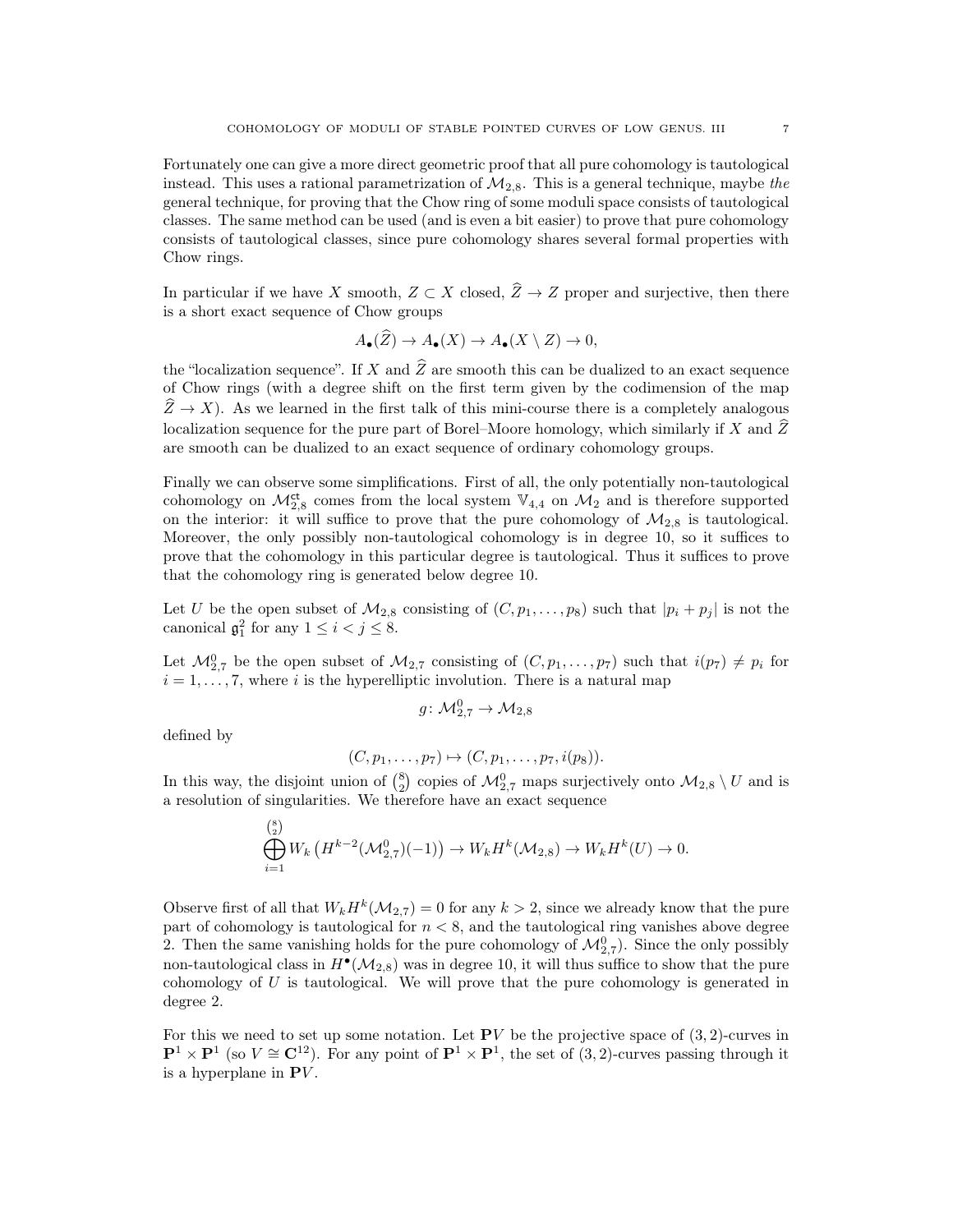Fortunately one can give a more direct geometric proof that all pure cohomology is tautological instead. This uses a rational parametrization of  $\mathcal{M}_{2,8}$ . This is a general technique, maybe the general technique, for proving that the Chow ring of some moduli space consists of tautological classes. The same method can be used (and is even a bit easier) to prove that pure cohomology consists of tautological classes, since pure cohomology shares several formal properties with Chow rings.

In particular if we have X smooth,  $Z \subset X$  closed,  $\hat{Z} \to Z$  proper and surjective, then there is a short exact sequence of Chow groups

$$
A_{\bullet}(Z) \to A_{\bullet}(X) \to A_{\bullet}(X \setminus Z) \to 0,
$$

the "localization sequence". If X and  $\widehat{Z}$  are smooth this can be dualized to an exact sequence of Chow rings (with a degree shift on the first term given by the codimension of the map  $\hat{Z} \to X$ ). As we learned in the first talk of this mini-course there is a completely analogous localization sequence for the pure part of Borel–Moore homology, which similarly if X and  $\hat{Z}$ are smooth can be dualized to an exact sequence of ordinary cohomology groups.

Finally we can observe some simplifications. First of all, the only potentially non-tautological cohomology on  $\mathcal{M}_{2,8}^{\mathsf{ct}}$  comes from the local system  $\mathbb{V}_{4,4}$  on  $\mathcal{M}_2$  and is therefore supported on the interior: it will suffice to prove that the pure cohomology of  $M_{2,8}$  is tautological. Moreover, the only possibly non-tautological cohomology is in degree 10, so it suffices to prove that the cohomology in this particular degree is tautological. Thus it suffices to prove that the cohomology ring is generated below degree 10.

Let U be the open subset of  $\mathcal{M}_{2,8}$  consisting of  $(C, p_1, \ldots, p_8)$  such that  $|p_i + p_j|$  is not the canonical  $\mathfrak{g}_1^2$  for any  $1 \leq i < j \leq 8$ .

Let  $\mathcal{M}_{2,7}^0$  be the open subset of  $\mathcal{M}_{2,7}$  consisting of  $(C, p_1, \ldots, p_7)$  such that  $i(p_7) \neq p_i$  for  $i = 1, \ldots, 7$ , where i is the hyperelliptic involution. There is a natural map

$$
g\colon \mathcal{M}_{2,7}^0\to \mathcal{M}_{2,8}
$$

defined by

$$
(C, p_1, \ldots, p_7) \mapsto (C, p_1, \ldots, p_7, i(p_8)).
$$

In this way, the disjoint union of  $\binom{8}{2}$  copies of  $\mathcal{M}_{2,7}^0$  maps surjectively onto  $\mathcal{M}_{2,8} \setminus U$  and is a resolution of singularities. We therefore have an exact sequence

$$
\bigoplus_{i=1}^{8} W_k \left( H^{k-2}(\mathcal{M}_{2,7}^0)(-1) \right) \to W_k H^k(\mathcal{M}_{2,8}) \to W_k H^k(U) \to 0.
$$

Observe first of all that  $W_k H^k(\mathcal{M}_{2,7}) = 0$  for any  $k > 2$ , since we already know that the pure part of cohomology is tautological for  $n < 8$ , and the tautological ring vanishes above degree 2. Then the same vanishing holds for the pure cohomology of  $\mathcal{M}_{2,7}^0$ ). Since the only possibly non-tautological class in  $H^{\bullet}(\mathcal{M}_{2,8})$  was in degree 10, it will thus suffice to show that the pure cohomology of  $U$  is tautological. We will prove that the pure cohomology is generated in degree 2.

For this we need to set up some notation. Let  $PV$  be the projective space of  $(3, 2)$ -curves in  $\mathbf{P}^1 \times \mathbf{P}^1$  (so  $V \cong \mathbf{C}^{12}$ ). For any point of  $\mathbf{P}^1 \times \mathbf{P}^1$ , the set of (3, 2)-curves passing through it is a hyperplane in  $\mathbf{P}V$ .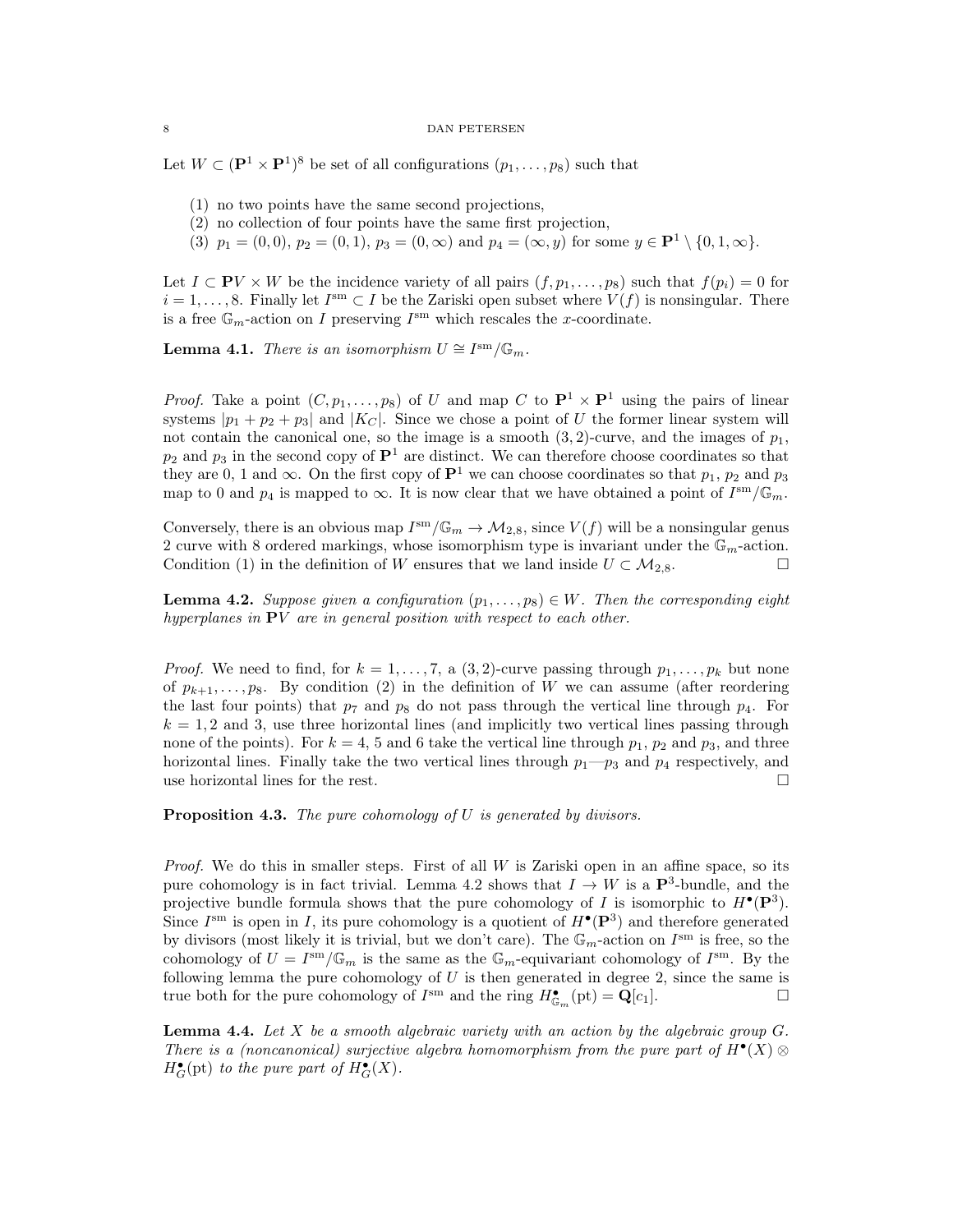### 8 DAN PETERSEN

Let  $W \subset (\mathbf{P}^1 \times \mathbf{P}^1)^8$  be set of all configurations  $(p_1, \ldots, p_8)$  such that

- (1) no two points have the same second projections,
- (2) no collection of four points have the same first projection,
- (3)  $p_1 = (0, 0), p_2 = (0, 1), p_3 = (0, \infty)$  and  $p_4 = (\infty, y)$  for some  $y \in \mathbf{P}^1 \setminus \{0, 1, \infty\}$ .

Let  $I \subset \mathbf{P}V \times W$  be the incidence variety of all pairs  $(f, p_1, \ldots, p_8)$  such that  $f(p_i) = 0$  for  $i = 1, \ldots, 8$ . Finally let  $I^{sm} \subset I$  be the Zariski open subset where  $V(f)$  is nonsingular. There is a free  $\mathbb{G}_m$ -action on I preserving  $I^{\text{sm}}$  which rescales the x-coordinate.

**Lemma 4.1.** There is an isomorphism  $U \cong I^{\text{sm}}/\mathbb{G}_m$ .

*Proof.* Take a point  $(C, p_1, \ldots, p_8)$  of U and map C to  $\mathbf{P}^1 \times \mathbf{P}^1$  using the pairs of linear systems  $|p_1 + p_2 + p_3|$  and  $|K_C|$ . Since we chose a point of U the former linear system will not contain the canonical one, so the image is a smooth  $(3, 2)$ -curve, and the images of  $p_1$ ,  $p_2$  and  $p_3$  in the second copy of  $\mathbf{P}^1$  are distinct. We can therefore choose coordinates so that they are 0, 1 and  $\infty$ . On the first copy of  $\mathbf{P}^1$  we can choose coordinates so that  $p_1$ ,  $p_2$  and  $p_3$ map to 0 and  $p_4$  is mapped to  $\infty$ . It is now clear that we have obtained a point of  $I^{\text{sm}}/\mathbb{G}_m$ .

Conversely, there is an obvious map  $I^{sm}/\mathbb{G}_m \to \mathcal{M}_{2,8}$ , since  $V(f)$  will be a nonsingular genus 2 curve with 8 ordered markings, whose isomorphism type is invariant under the  $\mathbb{G}_m$ -action. Condition (1) in the definition of W ensures that we land inside  $U \subset M_{2,8}$ .

**Lemma 4.2.** Suppose given a configuration  $(p_1, \ldots, p_8) \in W$ . Then the corresponding eight hyperplanes in  $PV$  are in general position with respect to each other.

*Proof.* We need to find, for  $k = 1, \ldots, 7$ , a  $(3, 2)$ -curve passing through  $p_1, \ldots, p_k$  but none of  $p_{k+1}, \ldots, p_8$ . By condition (2) in the definition of W we can assume (after reordering the last four points) that  $p_7$  and  $p_8$  do not pass through the vertical line through  $p_4$ . For  $k = 1, 2$  and 3, use three horizontal lines (and implicitly two vertical lines passing through none of the points). For  $k = 4, 5$  and 6 take the vertical line through  $p_1, p_2$  and  $p_3$ , and three horizontal lines. Finally take the two vertical lines through  $p_1-p_3$  and  $p_4$  respectively, and use horizontal lines for the rest.

Proposition 4.3. The pure cohomology of U is generated by divisors.

*Proof.* We do this in smaller steps. First of all  $W$  is Zariski open in an affine space, so its pure cohomology is in fact trivial. Lemma 4.2 shows that  $I \to W$  is a  $\mathbf{P}^3$ -bundle, and the projective bundle formula shows that the pure cohomology of I is isomorphic to  $H^{\bullet}(\mathbf{P}^{3})$ . Since  $I^{\rm sm}$  is open in I, its pure cohomology is a quotient of  $H^{\bullet}(\mathbf{P}^3)$  and therefore generated by divisors (most likely it is trivial, but we don't care). The  $\mathbb{G}_m$ -action on  $I^{\text{sm}}$  is free, so the cohomology of  $U = I^{\text{sm}}/\mathbb{G}_m$  is the same as the  $\mathbb{G}_m$ -equivariant cohomology of  $I^{\text{sm}}$ . By the following lemma the pure cohomology of  $U$  is then generated in degree 2, since the same is true both for the pure cohomology of  $I^{\text{sm}}$  and the ring  $H^{\bullet}_{\mathbb{G}_m}(\text{pt}) = \mathbf{Q}[c_1]$ .

**Lemma 4.4.** Let  $X$  be a smooth algebraic variety with an action by the algebraic group  $G$ . There is a (noncanonical) surjective algebra homomorphism from the pure part of  $H^{\bullet}(X) \otimes$  $H_G^{\bullet}(\text{pt})$  to the pure part of  $H_G^{\bullet}(X)$ .